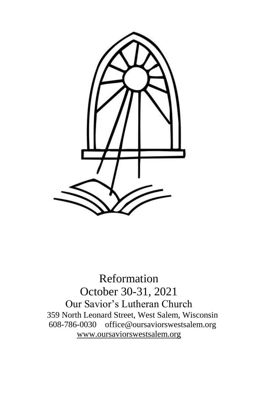

Reformation October 30-31, 2021 Our Savior's Lutheran Church 359 North Leonard Street, West Salem, Wisconsin 608-786-0030 office@oursaviorswestsalem.org [www.oursaviorswestsalem.org](http://www.oursaviorswestsalem.org/)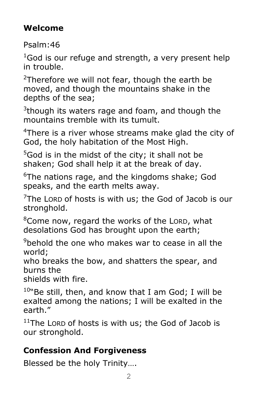# **Welcome**

Psalm:46

 $1$ God is our refuge and strength, a very present help in trouble.

<sup>2</sup>Therefore we will not fear, though the earth be moved, and though the mountains shake in the depths of the sea;

 $3$ though its waters rage and foam, and though the mountains tremble with its tumult.

<sup>4</sup>There is a river whose streams make glad the city of God, the holy habitation of the Most High.

 $5$ God is in the midst of the city; it shall not be shaken; God shall help it at the break of day.

 $6$ The nations rage, and the kingdoms shake; God speaks, and the earth melts away.

 $7$ The LORD of hosts is with us; the God of Jacob is our stronghold.

 $8$ Come now, regard the works of the LORD, what desolations God has brought upon the earth;

 $9$ behold the one who makes war to cease in all the world;

who breaks the bow, and shatters the spear, and burns the

shields with fire.

 $10^{\circ}$ Be still, then, and know that I am God; I will be exalted among the nations; I will be exalted in the earth."

 $11$ The LORD of hosts is with us; the God of Jacob is our stronghold.

# **Confession And Forgiveness**

Blessed be the holy Trinity….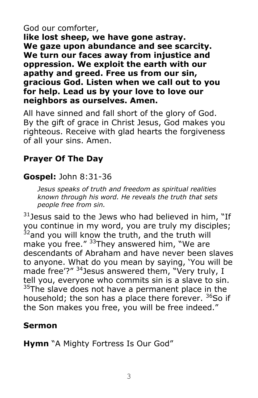#### God our comforter,

**like lost sheep, we have gone astray. We gaze upon abundance and see scarcity. We turn our faces away from injustice and oppression. We exploit the earth with our apathy and greed. Free us from our sin, gracious God. Listen when we call out to you for help. Lead us by your love to love our neighbors as ourselves. Amen.**

All have sinned and fall short of the glory of God. By the gift of grace in Christ Jesus, God makes you righteous. Receive with glad hearts the forgiveness of all your sins. Amen.

## **Prayer Of The Day**

## **Gospel:** John 8:31-36

*Jesus speaks of truth and freedom as spiritual realities known through his word. He reveals the truth that sets people free from sin.*

 $31$  Jesus said to the Jews who had believed in him, "If you continue in my word, you are truly my disciples;  $32$ and you will know the truth, and the truth will make you free." <sup>33</sup>They answered him, "We are descendants of Abraham and have never been slaves to anyone. What do you mean by saying, 'You will be made free'?" <sup>34</sup>Jesus answered them, "Very truly, I tell you, everyone who commits sin is a slave to sin. <sup>35</sup>The slave does not have a permanent place in the household; the son has a place there forever.  $36$ So if the Son makes you free, you will be free indeed."

### **Sermon**

**Hymn** "A Mighty Fortress Is Our God"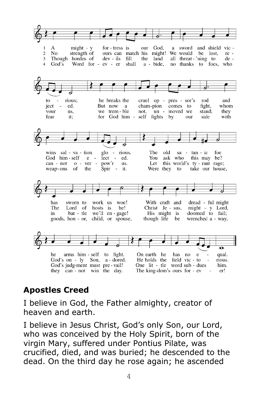

## **Apostles Creed**

I believe in God, the Father almighty, creator of heaven and earth.

I believe in Jesus Christ, God's only Son, our Lord, who was conceived by the Holy Spirit, born of the virgin Mary, suffered under Pontius Pilate, was crucified, died, and was buried; he descended to the dead. On the third day he rose again; he ascended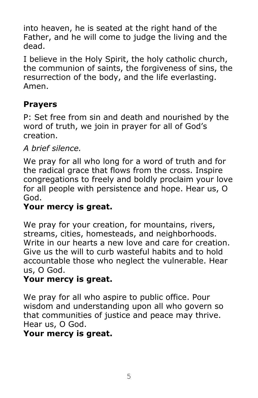into heaven, he is seated at the right hand of the Father, and he will come to judge the living and the dead.

I believe in the Holy Spirit, the holy catholic church, the communion of saints, the forgiveness of sins, the resurrection of the body, and the life everlasting. Amen.

### **Prayers**

P: Set free from sin and death and nourished by the word of truth, we join in prayer for all of God's creation.

### *A brief silence.*

We pray for all who long for a word of truth and for the radical grace that flows from the cross. Inspire congregations to freely and boldly proclaim your love for all people with persistence and hope. Hear us, O God.

### **Your mercy is great.**

We pray for your creation, for mountains, rivers, streams, cities, homesteads, and neighborhoods. Write in our hearts a new love and care for creation. Give us the will to curb wasteful habits and to hold accountable those who neglect the vulnerable. Hear us, O God.

## **Your mercy is great.**

We pray for all who aspire to public office. Pour wisdom and understanding upon all who govern so that communities of justice and peace may thrive. Hear us, O God.

#### **Your mercy is great.**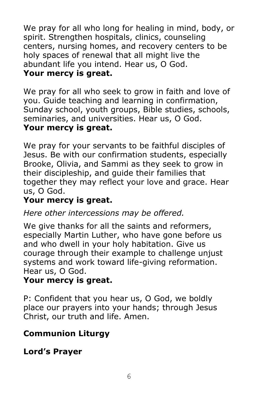We pray for all who long for healing in mind, body, or spirit. Strengthen hospitals, clinics, counseling centers, nursing homes, and recovery centers to be holy spaces of renewal that all might live the abundant life you intend. Hear us, O God. **Your mercy is great.**

We pray for all who seek to grow in faith and love of you. Guide teaching and learning in confirmation, Sunday school, youth groups, Bible studies, schools, seminaries, and universities. Hear us, O God. **Your mercy is great.**

We pray for your servants to be faithful disciples of Jesus. Be with our confirmation students, especially Brooke, Olivia, and Sammi as they seek to grow in their discipleship, and guide their families that together they may reflect your love and grace. Hear us, O God.

### **Your mercy is great.**

*Here other intercessions may be offered.*

We give thanks for all the saints and reformers, especially Martin Luther, who have gone before us and who dwell in your holy habitation. Give us courage through their example to challenge unjust systems and work toward life-giving reformation. Hear us, O God.

### **Your mercy is great.**

P: Confident that you hear us, O God, we boldly place our prayers into your hands; through Jesus Christ, our truth and life. Amen.

## **Communion Liturgy**

**Lord's Prayer**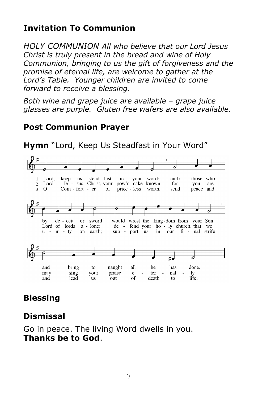## **Invitation To Communion**

*HOLY COMMUNION All who believe that our Lord Jesus Christ is truly present in the bread and wine of Holy Communion, bringing to us the gift of forgiveness and the promise of eternal life, are welcome to gather at the Lord's Table. Younger children are invited to come forward to receive a blessing.* 

*Both wine and grape juice are available – grape juice glasses are purple. Gluten free wafers are also available.* 

#### **Post Communion Prayer**

stead - fast word: curb those who Lord, keep **us** in your Je - sus Christ, your pow'r make known, Lord for you  $\overline{c}$ are  $\Omega$ Com - fort - er  $\mathbf{R}$ of price - less worth, send peace and would wrest the king-dom from your Son bv de - ceit or sword Lord of lords a - lone; de - fend your ho - ly church, that we on earth; sup - port us our fi - nal strife  $u - ni - ty$ in Ħ. bring all has done. and to naught he may sing your praise  $\mathbf{e}$ ter nal ly. of life. and lead **us** out death to

### **Hymn** "Lord, Keep Us Steadfast in Your Word"

## **Blessing**

#### **Dismissal**

Go in peace. The living Word dwells in you. **Thanks be to God**.